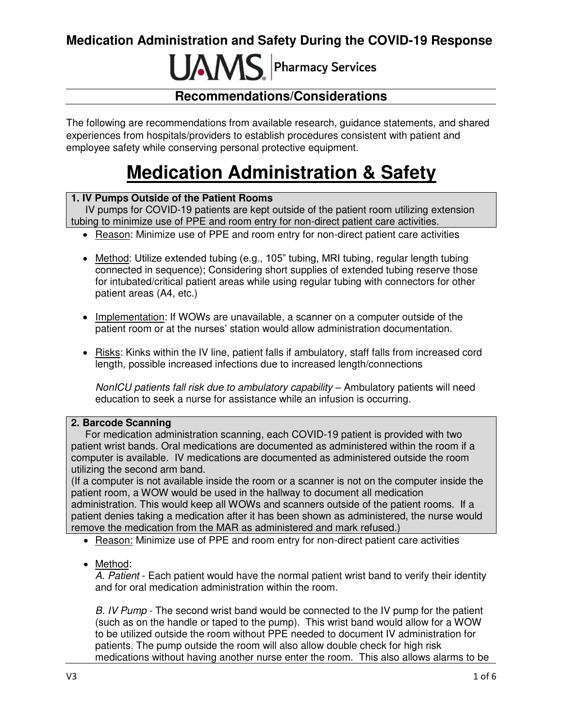# **IJAMS** Pharmacy Services

### **Recommendations/Considerations**

The following are recommendations from available research, guidance statements, and shared experiences from hospitals/providers to establish procedures consistent with patient and employee safety while conserving personal protective equipment.

# **Medication Administration & Safety**

### **1. IV Pumps Outside of the Patient Rooms**

 IV pumps for COVID-19 patients are kept outside of the patient room utilizing extension tubing to minimize use of PPE and room entry for non-direct patient care activities.

- Reason: Minimize use of PPE and room entry for non-direct patient care activities
- Method: Utilize extended tubing (e.g., 105" tubing, MRI tubing, regular length tubing connected in sequence); Considering short supplies of extended tubing reserve those for intubated/critical patient areas while using regular tubing with connectors for other patient areas (A4, etc.)
- Implementation: If WOWs are unavailable, a scanner on a computer outside of the patient room or at the nurses' station would allow administration documentation.
- Risks: Kinks within the IV line, patient falls if ambulatory, staff falls from increased cord length, possible increased infections due to increased length/connections

NonICU patients fall risk due to ambulatory capability – Ambulatory patients will need education to seek a nurse for assistance while an infusion is occurring.

### **2. Barcode Scanning**

 For medication administration scanning, each COVID-19 patient is provided with two patient wrist bands. Oral medications are documented as administered within the room if a computer is available. IV medications are documented as administered outside the room utilizing the second arm band.

(If a computer is not available inside the room or a scanner is not on the computer inside the patient room, a WOW would be used in the hallway to document all medication administration. This would keep all WOWs and scanners outside of the patient rooms. If a patient denies taking a medication after it has been shown as administered, the nurse would remove the medication from the MAR as administered and mark refused.)

- Reason: Minimize use of PPE and room entry for non-direct patient care activities
- Method:

A. Patient - Each patient would have the normal patient wrist band to verify their identity and for oral medication administration within the room.

B. IV Pump - The second wrist band would be connected to the IV pump for the patient (such as on the handle or taped to the pump). This wrist band would allow for a WOW to be utilized outside the room without PPE needed to document IV administration for patients. The pump outside the room will also allow double check for high risk medications without having another nurse enter the room. This also allows alarms to be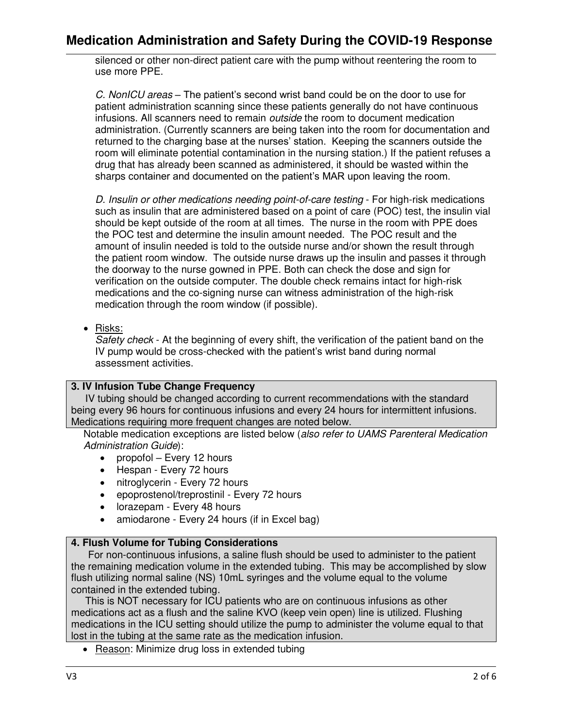silenced or other non-direct patient care with the pump without reentering the room to use more PPE.

C. NonICU areas – The patient's second wrist band could be on the door to use for patient administration scanning since these patients generally do not have continuous infusions. All scanners need to remain *outside* the room to document medication administration. (Currently scanners are being taken into the room for documentation and returned to the charging base at the nurses' station. Keeping the scanners outside the room will eliminate potential contamination in the nursing station.) If the patient refuses a drug that has already been scanned as administered, it should be wasted within the sharps container and documented on the patient's MAR upon leaving the room.

D. Insulin or other medications needing point-of-care testing - For high-risk medications such as insulin that are administered based on a point of care (POC) test, the insulin vial should be kept outside of the room at all times. The nurse in the room with PPE does the POC test and determine the insulin amount needed. The POC result and the amount of insulin needed is told to the outside nurse and/or shown the result through the patient room window. The outside nurse draws up the insulin and passes it through the doorway to the nurse gowned in PPE. Both can check the dose and sign for verification on the outside computer. The double check remains intact for high-risk medications and the co-signing nurse can witness administration of the high-risk medication through the room window (if possible).

• Risks:

Safety check - At the beginning of every shift, the verification of the patient band on the IV pump would be cross-checked with the patient's wrist band during normal assessment activities.

### **3. IV Infusion Tube Change Frequency**

 IV tubing should be changed according to current recommendations with the standard being every 96 hours for continuous infusions and every 24 hours for intermittent infusions. Medications requiring more frequent changes are noted below.

Notable medication exceptions are listed below (also refer to UAMS Parenteral Medication Administration Guide):

- propofol Every 12 hours
- Hespan Every 72 hours
- nitroglycerin Every 72 hours
- epoprostenol/treprostinil Every 72 hours
- lorazepam Every 48 hours
- amiodarone Every 24 hours (if in Excel bag)

### **4. Flush Volume for Tubing Considerations**

 For non-continuous infusions, a saline flush should be used to administer to the patient the remaining medication volume in the extended tubing. This may be accomplished by slow flush utilizing normal saline (NS) 10mL syringes and the volume equal to the volume contained in the extended tubing.

 This is NOT necessary for ICU patients who are on continuous infusions as other medications act as a flush and the saline KVO (keep vein open) line is utilized. Flushing medications in the ICU setting should utilize the pump to administer the volume equal to that lost in the tubing at the same rate as the medication infusion.

• Reason: Minimize drug loss in extended tubing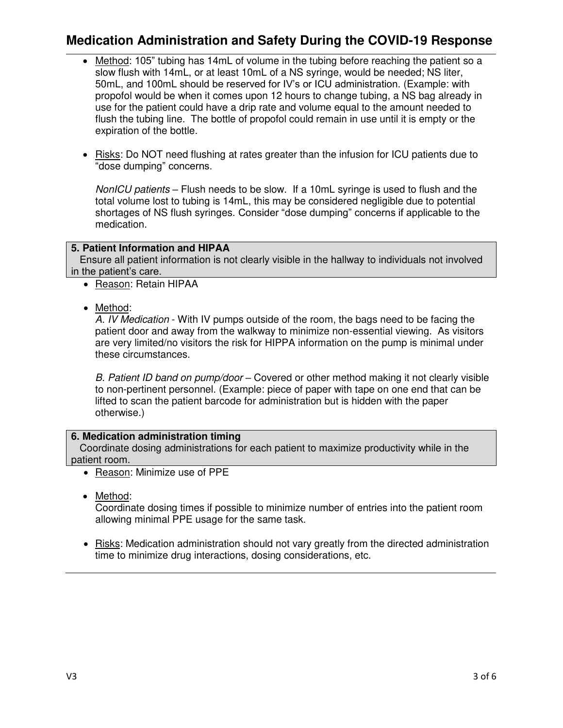- Method: 105" tubing has 14mL of volume in the tubing before reaching the patient so a slow flush with 14mL, or at least 10mL of a NS syringe, would be needed; NS liter, 50mL, and 100mL should be reserved for IV's or ICU administration. (Example: with propofol would be when it comes upon 12 hours to change tubing, a NS bag already in use for the patient could have a drip rate and volume equal to the amount needed to flush the tubing line. The bottle of propofol could remain in use until it is empty or the expiration of the bottle.
- Risks: Do NOT need flushing at rates greater than the infusion for ICU patients due to "dose dumping" concerns.

NonICU patients – Flush needs to be slow. If a 10mL syringe is used to flush and the total volume lost to tubing is 14mL, this may be considered negligible due to potential shortages of NS flush syringes. Consider "dose dumping" concerns if applicable to the medication.

### **5. Patient Information and HIPAA**

 Ensure all patient information is not clearly visible in the hallway to individuals not involved in the patient's care.

- Reason: Retain HIPAA
- Method:

A. IV Medication - With IV pumps outside of the room, the bags need to be facing the patient door and away from the walkway to minimize non-essential viewing. As visitors are very limited/no visitors the risk for HIPPA information on the pump is minimal under these circumstances.

B. Patient ID band on pump/door – Covered or other method making it not clearly visible to non-pertinent personnel. (Example: piece of paper with tape on one end that can be lifted to scan the patient barcode for administration but is hidden with the paper otherwise.)

### **6. Medication administration timing**

 Coordinate dosing administrations for each patient to maximize productivity while in the patient room.

- Reason: Minimize use of PPE
- Method:

Coordinate dosing times if possible to minimize number of entries into the patient room allowing minimal PPE usage for the same task.

 Risks: Medication administration should not vary greatly from the directed administration time to minimize drug interactions, dosing considerations, etc.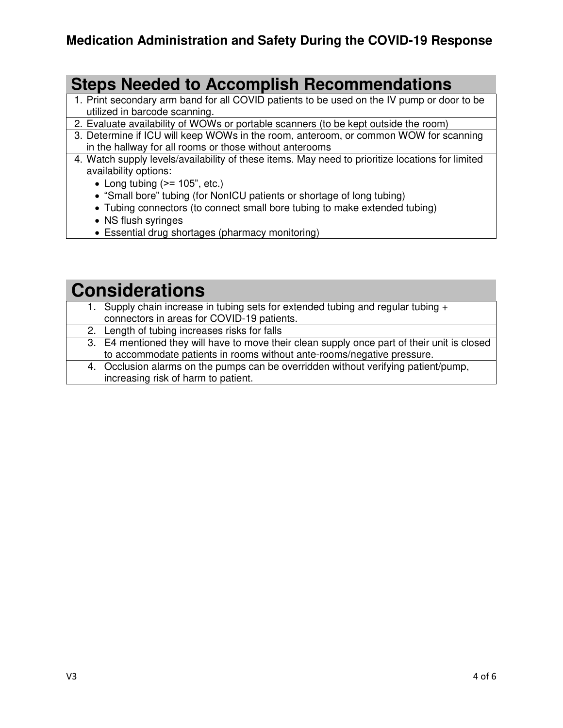## **Steps Needed to Accomplish Recommendations**

- 1. Print secondary arm band for all COVID patients to be used on the IV pump or door to be utilized in barcode scanning.
- 2. Evaluate availability of WOWs or portable scanners (to be kept outside the room)
- 3. Determine if ICU will keep WOWs in the room, anteroom, or common WOW for scanning in the hallway for all rooms or those without anterooms
- 4. Watch supply levels/availability of these items. May need to prioritize locations for limited availability options:
	- $\bullet$  Long tubing ( $\ge$  = 105", etc.)
	- "Small bore" tubing (for NonICU patients or shortage of long tubing)
	- Tubing connectors (to connect small bore tubing to make extended tubing)
	- NS flush syringes
	- Essential drug shortages (pharmacy monitoring)

## **Considerations**

- 1. Supply chain increase in tubing sets for extended tubing and regular tubing + connectors in areas for COVID-19 patients.
- 2. Length of tubing increases risks for falls
- 3. E4 mentioned they will have to move their clean supply once part of their unit is closed to accommodate patients in rooms without ante-rooms/negative pressure.
- 4. Occlusion alarms on the pumps can be overridden without verifying patient/pump, increasing risk of harm to patient.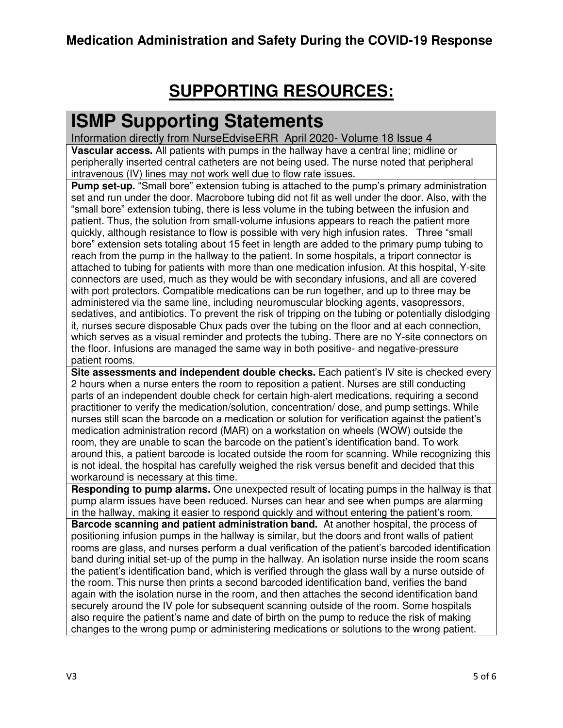# **SUPPORTING RESOURCES:**

# **ISMP Supporting Statements**

Information directly from NurseEdviseERR April 2020- Volume 18 Issue 4 **Vascular access.** All patients with pumps in the hallway have a central line; midline or peripherally inserted central catheters are not being used. The nurse noted that peripheral intravenous (IV) lines may not work well due to flow rate issues.

**Pump set-up.** "Small bore" extension tubing is attached to the pump's primary administration set and run under the door. Macrobore tubing did not fit as well under the door. Also, with the "small bore" extension tubing, there is less volume in the tubing between the infusion and patient. Thus, the solution from small-volume infusions appears to reach the patient more quickly, although resistance to flow is possible with very high infusion rates. Three "small bore" extension sets totaling about 15 feet in length are added to the primary pump tubing to reach from the pump in the hallway to the patient. In some hospitals, a triport connector is attached to tubing for patients with more than one medication infusion. At this hospital, Y-site connectors are used, much as they would be with secondary infusions, and all are covered with port protectors. Compatible medications can be run together, and up to three may be administered via the same line, including neuromuscular blocking agents, vasopressors, sedatives, and antibiotics. To prevent the risk of tripping on the tubing or potentially dislodging it, nurses secure disposable Chux pads over the tubing on the floor and at each connection, which serves as a visual reminder and protects the tubing. There are no Y-site connectors on the floor. Infusions are managed the same way in both positive- and negative-pressure patient rooms.

**Site assessments and independent double checks.** Each patient's IV site is checked every 2 hours when a nurse enters the room to reposition a patient. Nurses are still conducting parts of an independent double check for certain high-alert medications, requiring a second practitioner to verify the medication/solution, concentration/ dose, and pump settings. While nurses still scan the barcode on a medication or solution for verification against the patient's medication administration record (MAR) on a workstation on wheels (WOW) outside the room, they are unable to scan the barcode on the patient's identification band. To work around this, a patient barcode is located outside the room for scanning. While recognizing this is not ideal, the hospital has carefully weighed the risk versus benefit and decided that this workaround is necessary at this time.

**Responding to pump alarms.** One unexpected result of locating pumps in the hallway is that pump alarm issues have been reduced. Nurses can hear and see when pumps are alarming in the hallway, making it easier to respond quickly and without entering the patient's room.

**Barcode scanning and patient administration band.** At another hospital, the process of positioning infusion pumps in the hallway is similar, but the doors and front walls of patient rooms are glass, and nurses perform a dual verification of the patient's barcoded identification band during initial set-up of the pump in the hallway. An isolation nurse inside the room scans the patient's identification band, which is verified through the glass wall by a nurse outside of the room. This nurse then prints a second barcoded identification band, verifies the band again with the isolation nurse in the room, and then attaches the second identification band securely around the IV pole for subsequent scanning outside of the room. Some hospitals also require the patient's name and date of birth on the pump to reduce the risk of making changes to the wrong pump or administering medications or solutions to the wrong patient.